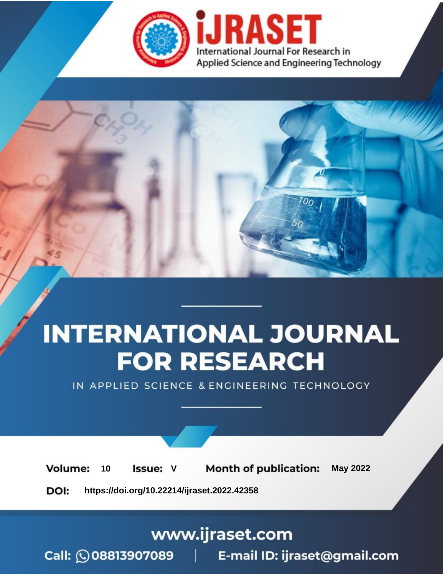

# **INTERNATIONAL JOURNAL FOR RESEARCH**

IN APPLIED SCIENCE & ENGINEERING TECHNOLOGY

Volume: **Month of publication: May 2022** 10 **Issue: V** 

DOI: https://doi.org/10.22214/ijraset.2022.42358

www.ijraset.com

Call: 008813907089 | E-mail ID: ijraset@gmail.com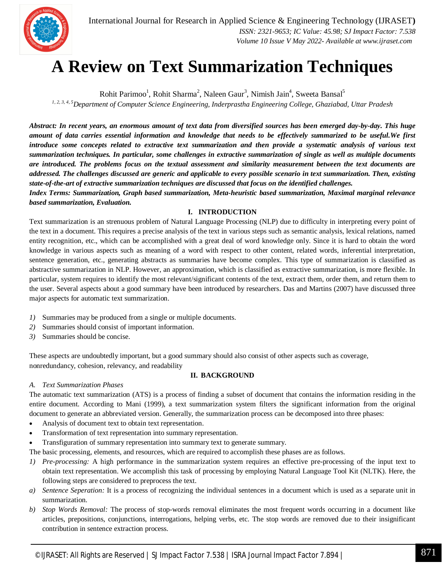

International Journal for Research in Applied Science & Engineering Technology (IJRASET**)**  *ISSN: 2321-9653; IC Value: 45.98; SJ Impact Factor: 7.538 Volume 10 Issue V May 2022- Available at www.ijraset.com*

### **A Review on Text Summarization Techniques**

Rohit Parimoo<sup>1</sup>, Rohit Sharma<sup>2</sup>, Naleen Gaur<sup>3</sup>, Nimish Jain<sup>4</sup>, Sweeta Bansal<sup>5</sup> *1, 2, 3, 4, 5Department of Computer Science Engineering, Inderprastha Engineering College, Ghaziabad, Uttar Pradesh*

*Abstract: In recent years, an enormous amount of text data from diversified sources has been emerged day-by-day. This huge amount of data carries essential information and knowledge that needs to be effectively summarized to be useful.We first introduce some concepts related to extractive text summarization and then provide a systematic analysis of various text summarization techniques. In particular, some challenges in extractive summarization of single as well as multiple documents are introduced. The problems focus on the textual assessment and similarity measurement between the text documents are addressed. The challenges discussed are generic and applicable to every possible scenario in text summarization. Then, existing state-of-the-art of extractive summarization techniques are discussed that focus on the identified challenges.*

*Index Terms: Summarization, Graph based summarization, Meta-heuristic based summarization, Maximal marginal relevance based summarization, Evaluation.*

#### **I. INTRODUCTION**

Text summarization is an strenuous problem of Natural Language Processing (NLP) due to difficulty in interpreting every point of the text in a document. This requires a precise analysis of the text in various steps such as semantic analysis, lexical relations, named entity recognition, etc., which can be accomplished with a great deal of word knowledge only. Since it is hard to obtain the word knowledge in various aspects such as meaning of a word with respect to other content, related words, inferential interpretation, sentence generation, etc., generating abstracts as summaries have become complex. This type of summarization is classified as abstractive summarization in NLP. However, an approximation, which is classified as extractive summarization, is more flexible. In particular, system requires to identify the most relevant/significant contents of the text, extract them, order them, and return them to the user. Several aspects about a good summary have been introduced by researchers. Das and Martins (2007) have discussed three major aspects for automatic text summarization.

- *1)* Summaries may be produced from a single or multiple documents.
- *2)* Summaries should consist of important information.
- *3)* Summaries should be concise.

These aspects are undoubtedly important, but a good summary should also consist of other aspects such as coverage, nonredundancy, cohesion, relevancy, and readability

#### **II. BACKGROUND**

#### *A. Text Summarization Phases*

The automatic text summarization (ATS) is a process of finding a subset of document that contains the information residing in the entire document. According to Mani (1999), a text summarization system filters the significant information from the original document to generate an abbreviated version. Generally, the summarization process can be decomposed into three phases:

- Analysis of document text to obtain text representation.
- Transformation of text representation into summary representation.
- Transfiguration of summary representation into summary text to generate summary.

The basic processing, elements, and resources, which are required to accomplish these phases are as follows.

- *1) Pre-processing:* A high performance in the summarization system requires an effective pre-processing of the input text to obtain text representation. We accomplish this task of processing by employing Natural Language Tool Kit (NLTK). Here, the following steps are considered to preprocess the text.
- *a) Sentence Seperation:* It is a process of recognizing the individual sentences in a document which is used as a separate unit in summarization.
- *b) Stop Words Removal:* The process of stop-words removal eliminates the most frequent words occurring in a document like articles, prepositions, conjunctions, interrogations, helping verbs, etc. The stop words are removed due to their insignificant contribution in sentence extraction process.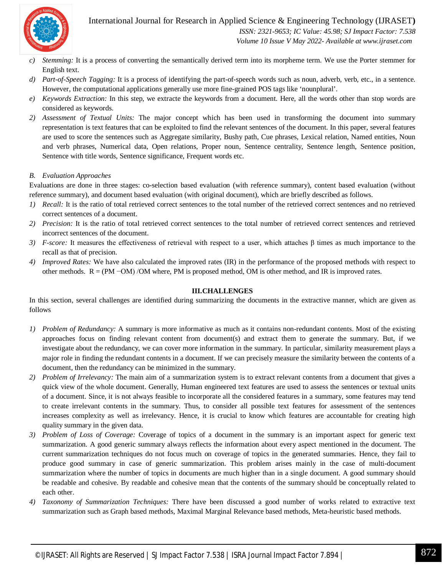International Journal for Research in Applied Science & Engineering Technology (IJRASET**)**



 *ISSN: 2321-9653; IC Value: 45.98; SJ Impact Factor: 7.538 Volume 10 Issue V May 2022- Available at www.ijraset.com*

- *c) Stemming:* It is a process of converting the semantically derived term into its morpheme term. We use the Porter stemmer for English text.
- *d) Part-of-Speech Tagging:* It is a process of identifying the part-of-speech words such as noun, adverb, verb, etc., in a sentence. However, the computational applications generally use more fine-grained POS tags like 'nounplural'.
- *e) Keywords Extraction:* In this step, we extracte the keywords from a document. Here, all the words other than stop words are considered as keywords.
- *2) Assessment of Textual Units:* The major concept which has been used in transforming the document into summary representation is text features that can be exploited to find the relevant sentences of the document. In this paper, several features are used to score the sentences such as Aggregate similarity, Bushy path, Cue phrases, Lexical relation, Named entities, Noun and verb phrases, Numerical data, Open relations, Proper noun, Sentence centrality, Sentence length, Sentence position, Sentence with title words, Sentence significance, Frequent words etc.

#### *B. Evaluation Approaches*

Evaluations are done in three stages: co-selection based evaluation (with reference summary), content based evaluation (without reference summary), and document based evaluation (with original document), which are briefly described as follows.

- *1) Recall:* It is the ratio of total retrieved correct sentences to the total number of the retrieved correct sentences and no retrieved correct sentences of a document.
- *2) Precision:* It is the ratio of total retrieved correct sentences to the total number of retrieved correct sentences and retrieved incorrect sentences of the document.
- *3) F-score:* It measures the effectiveness of retrieval with respect to a user, which attaches β times as much importance to the recall as that of precision.
- *4) Improved Rates:* We have also calculated the improved rates (IR) in the performance of the proposed methods with respect to other methods.  $R = (PM - OM) / OM$  where, PM is proposed method, OM is other method, and IR is improved rates.

#### **III.CHALLENGES**

In this section, several challenges are identified during summarizing the documents in the extractive manner, which are given as follows

- *1) Problem of Redundancy:* A summary is more informative as much as it contains non-redundant contents. Most of the existing approaches focus on finding relevant content from document(s) and extract them to generate the summary. But, if we investigate about the redundancy, we can cover more information in the summary. In particular, similarity measurement plays a major role in finding the redundant contents in a document. If we can precisely measure the similarity between the contents of a document, then the redundancy can be minimized in the summary.
- *2) Problem of Irrelevancy:* The main aim of a summarization system is to extract relevant contents from a document that gives a quick view of the whole document. Generally, Human engineered text features are used to assess the sentences or textual units of a document. Since, it is not always feasible to incorporate all the considered features in a summary, some features may tend to create irrelevant contents in the summary. Thus, to consider all possible text features for assessment of the sentences increases complexity as well as irrelevancy. Hence, it is crucial to know which features are accountable for creating high quality summary in the given data.
- *3) Problem of Loss of Coverage:* Coverage of topics of a document in the summary is an important aspect for generic text summarization. A good generic summary always reflects the information about every aspect mentioned in the document. The current summarization techniques do not focus much on coverage of topics in the generated summaries. Hence, they fail to produce good summary in case of generic summarization. This problem arises mainly in the case of multi-document summarization where the number of topics in documents are much higher than in a single document. A good summary should be readable and cohesive. By readable and cohesive mean that the contents of the summary should be conceptually related to each other.
- *4) Taxonomy of Summarization Techniques:* There have been discussed a good number of works related to extractive text summarization such as Graph based methods, Maximal Marginal Relevance based methods, Meta-heuristic based methods.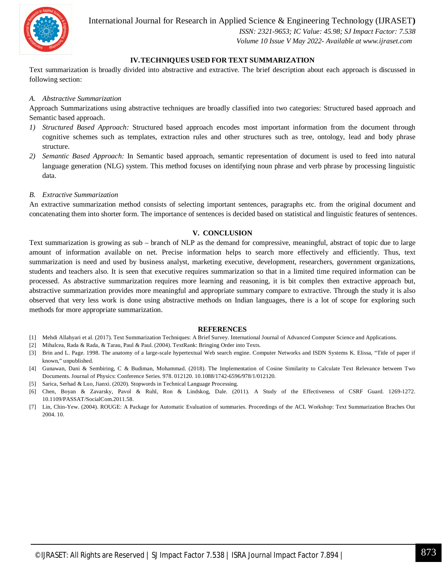International Journal for Research in Applied Science & Engineering Technology (IJRASET**)**



 *ISSN: 2321-9653; IC Value: 45.98; SJ Impact Factor: 7.538 Volume 10 Issue V May 2022- Available at www.ijraset.com*

#### **IV.TECHNIQUES USED FOR TEXT SUMMARIZATION**

Text summarization is broadly divided into abstractive and extractive. The brief description about each approach is discussed in following section:

#### *A. Abstractive Summarization*

Approach Summarizations using abstractive techniques are broadly classified into two categories: Structured based approach and Semantic based approach.

- *1) Structured Based Approach:* Structured based approach encodes most important information from the document through cognitive schemes such as templates, extraction rules and other structures such as tree, ontology, lead and body phrase structure.
- *2) Semantic Based Approach:* In Semantic based approach, semantic representation of document is used to feed into natural language generation (NLG) system. This method focuses on identifying noun phrase and verb phrase by processing linguistic data.
- *B. Extractive Summarization*

An extractive summarization method consists of selecting important sentences, paragraphs etc. from the original document and concatenating them into shorter form. The importance of sentences is decided based on statistical and linguistic features of sentences.

#### **V. CONCLUSION**

Text summarization is growing as sub – branch of NLP as the demand for compressive, meaningful, abstract of topic due to large amount of information available on net. Precise information helps to search more effectively and efficiently. Thus, text summarization is need and used by business analyst, marketing executive, development, researchers, government organizations, students and teachers also. It is seen that executive requires summarization so that in a limited time required information can be processed. As abstractive summarization requires more learning and reasoning, it is bit complex then extractive approach but, abstractive summarization provides more meaningful and appropriate summary compare to extractive. Through the study it is also observed that very less work is done using abstractive methods on Indian languages, there is a lot of scope for exploring such methods for more appropriate summarization.

#### **REFERENCES**

- [1] Mehdi Allahyari et al. (2017). Text Summarization Techniques: A Brief Survey. International Journal of Advanced Computer Science and Applications.
- [2] Mihalcea, Rada & Rada, & Tarau, Paul & Paul. (2004). TextRank: Bringing Order into Texts.
- [3] Brin and L. Page. 1998. The anatomy of a large-scale hypertextual Web search engine. Computer Networks and ISDN Systems K. Elissa, "Title of paper if known," unpublished.
- [4] Gunawan, Dani & Sembiring, C & Budiman, Mohammad. (2018). The Implementation of Cosine Similarity to Calculate Text Relevance between Two Documents. Journal of Physics: Conference Series. 978. 012120. 10.1088/1742-6596/978/1/012120.
- [5] Sarica, Serhad & Luo, Jianxi. (2020). Stopwords in Technical Language Processing.
- [6] Chen, Boyan & Zavarsky, Pavol & Ruhl, Ron & Lindskog, Dale. (2011). A Study of the Effectiveness of CSRF Guard. 1269-1272. 10.1109/PASSAT/SocialCom.2011.58.
- [7] Lin, Chin-Yew. (2004). ROUGE: A Package for Automatic Evaluation of summaries. Proceedings of the ACL Workshop: Text Summarization Braches Out 2004. 10.